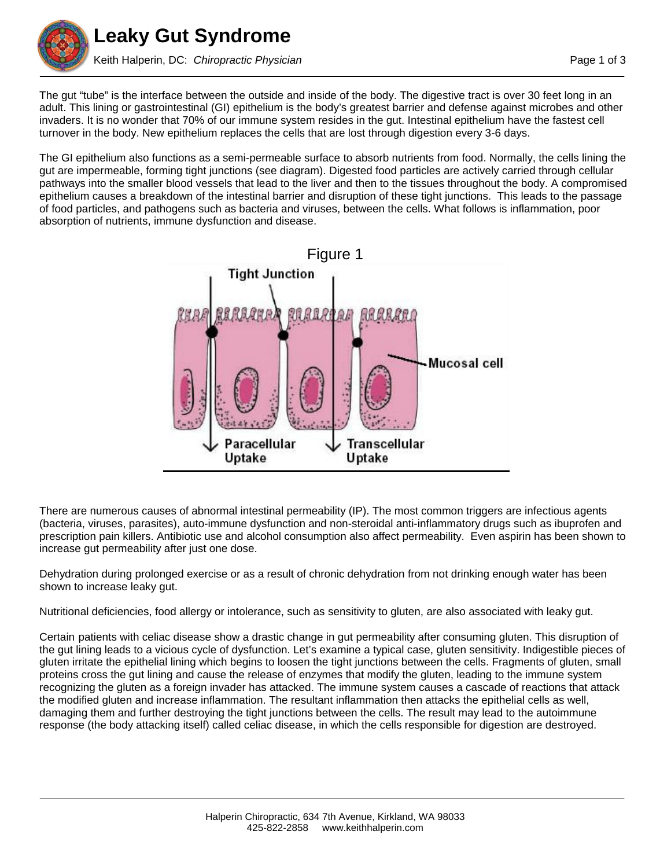

The gut "tube" is the interface between the outside and inside of the body. The digestive tract is over 30 feet long in an adult. This lining or gastrointestinal (GI) epithelium is the body's greatest barrier and defense against microbes and other invaders. It is no wonder that 70% of our immune system resides in the gut. Intestinal epithelium have the fastest cell turnover in the body. New epithelium replaces the cells that are lost through digestion every 3-6 days.

The GI epithelium also functions as a semi-permeable surface to absorb nutrients from food. Normally, the cells lining the gut are impermeable, forming tight junctions (see diagram). Digested food particles are actively carried through cellular pathways into the smaller blood vessels that lead to the liver and then to the tissues throughout the body. A compromised epithelium causes a breakdown of the intestinal barrier and disruption of these tight junctions. This leads to the passage of food particles, and pathogens such as bacteria and viruses, between the cells. What follows is inflammation, poor absorption of nutrients, immune dysfunction and disease.



There are numerous causes of abnormal intestinal permeability (IP). The most common triggers are infectious agents (bacteria, viruses, parasites), auto-immune dysfunction and non-steroidal anti-inflammatory drugs such as ibuprofen and prescription pain killers. Antibiotic use and alcohol consumption also affect permeability. Even aspirin has been shown to increase gut permeability after just one dose.

Dehydration during prolonged exercise or as a result of chronic dehydration from not drinking enough water has been shown to increase leaky gut.

Nutritional deficiencies, food allergy or intolerance, such as sensitivity to gluten, are also associated with leaky gut.

Certain patients with celiac disease show a drastic change in gut permeability after consuming gluten. This disruption of the gut lining leads to a vicious cycle of dysfunction. Let's examine a typical case, gluten sensitivity. Indigestible pieces of gluten irritate the epithelial lining which begins to loosen the tight junctions between the cells. Fragments of gluten, small proteins cross the gut lining and cause the release of enzymes that modify the gluten, leading to the immune system recognizing the gluten as a foreign invader has attacked. The immune system causes a cascade of reactions that attack the modified gluten and increase inflammation. The resultant inflammation then attacks the epithelial cells as well, damaging them and further destroying the tight junctions between the cells. The result may lead to the autoimmune response (the body attacking itself) called celiac disease, in which the cells responsible for digestion are destroyed.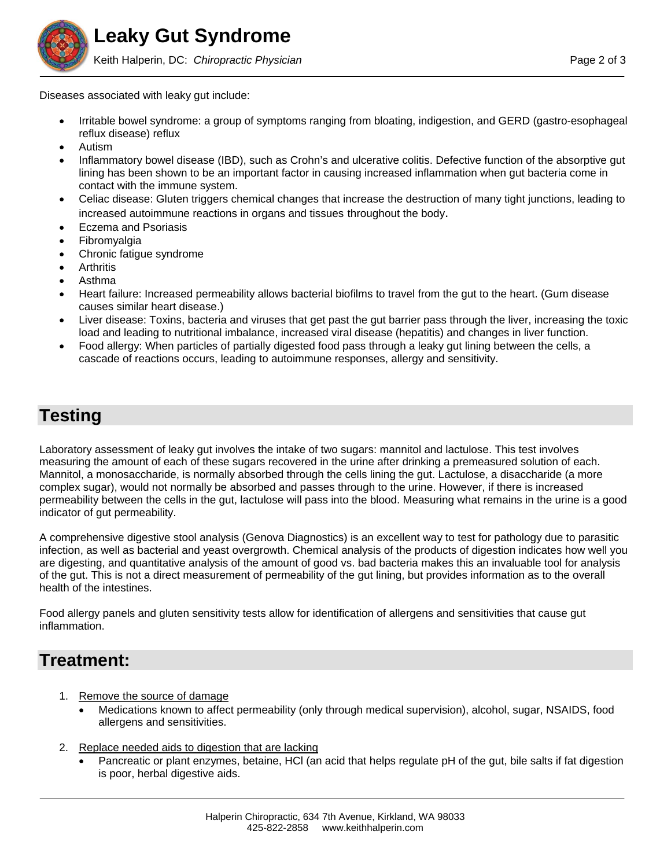Diseases associated with leaky gut include:

- Irritable bowel syndrome: a group of symptoms ranging from bloating, indigestion, and GERD (gastro-esophageal reflux disease) reflux
- Autism
- Inflammatory bowel disease (IBD), such as Crohn's and ulcerative colitis. Defective function of the absorptive gut lining has been shown to be an important factor in causing increased inflammation when gut bacteria come in contact with the immune system.
- Celiac disease: Gluten triggers chemical changes that increase the destruction of many tight junctions, leading to increased autoimmune reactions in organs and tissues throughout the body.
- Eczema and Psoriasis
- Fibromyalgia
- Chronic fatigue syndrome
- **Arthritis**
- Asthma
- Heart failure: Increased permeability allows bacterial biofilms to travel from the gut to the heart. (Gum disease causes similar heart disease.)
- Liver disease: Toxins, bacteria and viruses that get past the gut barrier pass through the liver, increasing the toxic load and leading to nutritional imbalance, increased viral disease (hepatitis) and changes in liver function.
- Food allergy: When particles of partially digested food pass through a leaky gut lining between the cells, a cascade of reactions occurs, leading to autoimmune responses, allergy and sensitivity.

## **Testing**

Laboratory assessment of leaky gut involves the intake of two sugars: mannitol and lactulose. This test involves measuring the amount of each of these sugars recovered in the urine after drinking a premeasured solution of each. Mannitol, a monosaccharide, is normally absorbed through the cells lining the gut. Lactulose, a disaccharide (a more complex sugar), would not normally be absorbed and passes through to the urine. However, if there is increased permeability between the cells in the gut, lactulose will pass into the blood. Measuring what remains in the urine is a good indicator of gut permeability.

A comprehensive digestive stool analysis (Genova Diagnostics) is an excellent way to test for pathology due to parasitic infection, as well as bacterial and yeast overgrowth. Chemical analysis of the products of digestion indicates how well you are digesting, and quantitative analysis of the amount of good vs. bad bacteria makes this an invaluable tool for analysis of the gut. This is not a direct measurement of permeability of the gut lining, but provides information as to the overall health of the intestines.

Food allergy panels and gluten sensitivity tests allow for identification of allergens and sensitivities that cause gut inflammation.

## **Treatment:**

- 1. Remove the source of damage
	- Medications known to affect permeability (only through medical supervision), alcohol, sugar, NSAIDS, food allergens and sensitivities.
- 2. Replace needed aids to digestion that are lacking
	- Pancreatic or plant enzymes, betaine, HCl (an acid that helps regulate pH of the gut, bile salts if fat digestion is poor, herbal digestive aids.